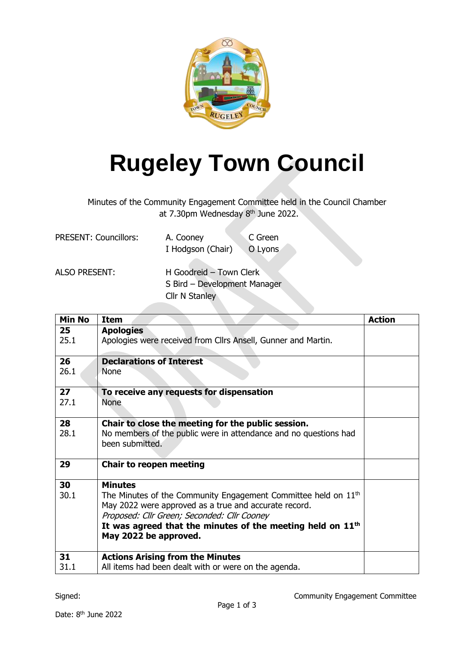

## **Rugeley Town Council**

Minutes of the Community Engagement Committee held in the Council Chamber at 7.30pm Wednesday 8<sup>th</sup> June 2022.

| <b>PRESENT: Councillors:</b> | A. Cooney         | C Green |
|------------------------------|-------------------|---------|
|                              | I Hodgson (Chair) | O Lyons |
|                              |                   |         |

| <b>ALSO PRESENT:</b> | H Goodreid - Town Clerk      |
|----------------------|------------------------------|
|                      | S Bird - Development Manager |
|                      | Cllr N Stanley               |

| <b>Min No</b> | <b>Item</b>                                                                                                                                                                                                                                                                 | <b>Action</b> |
|---------------|-----------------------------------------------------------------------------------------------------------------------------------------------------------------------------------------------------------------------------------------------------------------------------|---------------|
| 25            | <b>Apologies</b>                                                                                                                                                                                                                                                            |               |
| 25.1          | Apologies were received from Cllrs Ansell, Gunner and Martin.                                                                                                                                                                                                               |               |
| 26            | <b>Declarations of Interest</b>                                                                                                                                                                                                                                             |               |
| 26.1          | None                                                                                                                                                                                                                                                                        |               |
| 27            | To receive any requests for dispensation                                                                                                                                                                                                                                    |               |
| 27.1          | <b>None</b>                                                                                                                                                                                                                                                                 |               |
| 28            | Chair to close the meeting for the public session.                                                                                                                                                                                                                          |               |
| 28.1          | No members of the public were in attendance and no questions had<br>been submitted.                                                                                                                                                                                         |               |
| 29            | <b>Chair to reopen meeting</b>                                                                                                                                                                                                                                              |               |
| 30            | <b>Minutes</b>                                                                                                                                                                                                                                                              |               |
| 30.1          | The Minutes of the Community Engagement Committee held on 11 <sup>th</sup><br>May 2022 were approved as a true and accurate record.<br>Proposed: Cllr Green; Seconded: Cllr Cooney<br>It was agreed that the minutes of the meeting held on $11th$<br>May 2022 be approved. |               |
| 31            | <b>Actions Arising from the Minutes</b>                                                                                                                                                                                                                                     |               |
| 31.1          | All items had been dealt with or were on the agenda.                                                                                                                                                                                                                        |               |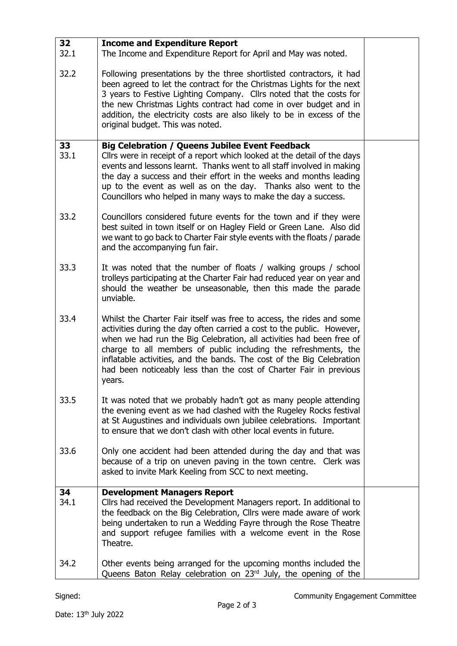| 32         | <b>Income and Expenditure Report</b>                                                                                                                                                                                                                                                                                                                                                                                                                |  |
|------------|-----------------------------------------------------------------------------------------------------------------------------------------------------------------------------------------------------------------------------------------------------------------------------------------------------------------------------------------------------------------------------------------------------------------------------------------------------|--|
| 32.1       | The Income and Expenditure Report for April and May was noted.                                                                                                                                                                                                                                                                                                                                                                                      |  |
| 32.2       | Following presentations by the three shortlisted contractors, it had<br>been agreed to let the contract for the Christmas Lights for the next<br>3 years to Festive Lighting Company. Cllrs noted that the costs for<br>the new Christmas Lights contract had come in over budget and in<br>addition, the electricity costs are also likely to be in excess of the<br>original budget. This was noted.                                              |  |
| 33         | <b>Big Celebration / Queens Jubilee Event Feedback</b>                                                                                                                                                                                                                                                                                                                                                                                              |  |
| 33.1       | Cllrs were in receipt of a report which looked at the detail of the days<br>events and lessons learnt. Thanks went to all staff involved in making<br>the day a success and their effort in the weeks and months leading<br>up to the event as well as on the day. Thanks also went to the<br>Councillors who helped in many ways to make the day a success.                                                                                        |  |
| 33.2       | Councillors considered future events for the town and if they were<br>best suited in town itself or on Hagley Field or Green Lane. Also did<br>we want to go back to Charter Fair style events with the floats / parade<br>and the accompanying fun fair.                                                                                                                                                                                           |  |
| 33.3       | It was noted that the number of floats / walking groups / school<br>trolleys participating at the Charter Fair had reduced year on year and<br>should the weather be unseasonable, then this made the parade<br>unviable.                                                                                                                                                                                                                           |  |
| 33.4       | Whilst the Charter Fair itself was free to access, the rides and some<br>activities during the day often carried a cost to the public. However,<br>when we had run the Big Celebration, all activities had been free of<br>charge to all members of public including the refreshments, the<br>inflatable activities, and the bands. The cost of the Big Celebration<br>had been noticeably less than the cost of Charter Fair in previous<br>years. |  |
| 33.5       | It was noted that we probably hadn't got as many people attending<br>the evening event as we had clashed with the Rugeley Rocks festival<br>at St Augustines and individuals own jubilee celebrations. Important<br>to ensure that we don't clash with other local events in future.                                                                                                                                                                |  |
| 33.6       | Only one accident had been attended during the day and that was<br>because of a trip on uneven paving in the town centre. Clerk was<br>asked to invite Mark Keeling from SCC to next meeting.                                                                                                                                                                                                                                                       |  |
| 34<br>34.1 | <b>Development Managers Report</b><br>Cllrs had received the Development Managers report. In additional to<br>the feedback on the Big Celebration, Cllrs were made aware of work<br>being undertaken to run a Wedding Fayre through the Rose Theatre<br>and support refugee families with a welcome event in the Rose<br>Theatre.                                                                                                                   |  |
| 34.2       | Other events being arranged for the upcoming months included the<br>Queens Baton Relay celebration on 23rd July, the opening of the                                                                                                                                                                                                                                                                                                                 |  |